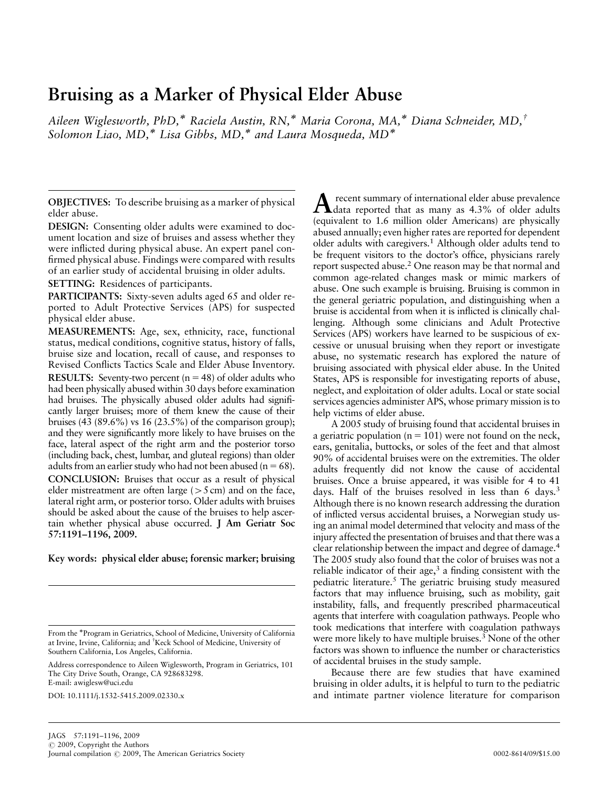# Bruising as a Marker of Physical Elder Abuse

Aileen Wiglesworth, PhD,\* Raciela Austin, RN,\* Maria Corona, MA,\* Diana Schneider, MD, $^{\dagger}$ Solomon Liao, MD, $^*$  Lisa Gibbs, MD, $^*$  and Laura Mosqueda, MD $^*$ 

OBJECTIVES: To describe bruising as a marker of physical elder abuse.

DESIGN: Consenting older adults were examined to document location and size of bruises and assess whether they were inflicted during physical abuse. An expert panel confirmed physical abuse. Findings were compared with results of an earlier study of accidental bruising in older adults.

SETTING: Residences of participants.

PARTICIPANTS: Sixty-seven adults aged 65 and older reported to Adult Protective Services (APS) for suspected physical elder abuse.

MEASUREMENTS: Age, sex, ethnicity, race, functional status, medical conditions, cognitive status, history of falls, bruise size and location, recall of cause, and responses to Revised Conflicts Tactics Scale and Elder Abuse Inventory. **RESULTS:** Seventy-two percent  $(n = 48)$  of older adults who had been physically abused within 30 days before examination had bruises. The physically abused older adults had significantly larger bruises; more of them knew the cause of their bruises  $(43 (89.6\%)$  vs  $16 (23.5\%)$  of the comparison group); and they were significantly more likely to have bruises on the face, lateral aspect of the right arm and the posterior torso (including back, chest, lumbar, and gluteal regions) than older adults from an earlier study who had not been abused ( $n = 68$ ). CONCLUSION: Bruises that occur as a result of physical elder mistreatment are often large  $(55 \text{ cm})$  and on the face, lateral right arm, or posterior torso. Older adults with bruises should be asked about the cause of the bruises to help ascertain whether physical abuse occurred. J Am Geriatr Soc 57:1191–1196, 2009.

Key words: physical elder abuse; forensic marker; bruising

DOI: 10.1111/j.1532-5415.2009.02330.x

A recent summary of international elder abuse prevalence<br>data reported that as many as 4.3% of older adults (equivalent to 1.6 million older Americans) are physically abused annually; even higher rates are reported for dependent older adults with caregivers.1 Although older adults tend to be frequent visitors to the doctor's office, physicians rarely report suspected abuse.2 One reason may be that normal and common age-related changes mask or mimic markers of abuse. One such example is bruising. Bruising is common in the general geriatric population, and distinguishing when a bruise is accidental from when it is inflicted is clinically challenging. Although some clinicians and Adult Protective Services (APS) workers have learned to be suspicious of excessive or unusual bruising when they report or investigate abuse, no systematic research has explored the nature of bruising associated with physical elder abuse. In the United States, APS is responsible for investigating reports of abuse, neglect, and exploitation of older adults. Local or state social services agencies administer APS, whose primary mission is to help victims of elder abuse.

A 2005 study of bruising found that accidental bruises in a geriatric population  $(n = 101)$  were not found on the neck, ears, genitalia, buttocks, or soles of the feet and that almost 90% of accidental bruises were on the extremities. The older adults frequently did not know the cause of accidental bruises. Once a bruise appeared, it was visible for 4 to 41 days. Half of the bruises resolved in less than 6 days.<sup>3</sup> Although there is no known research addressing the duration of inflicted versus accidental bruises, a Norwegian study using an animal model determined that velocity and mass of the injury affected the presentation of bruises and that there was a clear relationship between the impact and degree of damage.4 The 2005 study also found that the color of bruises was not a reliable indicator of their age, $3$  a finding consistent with the pediatric literature.5 The geriatric bruising study measured factors that may influence bruising, such as mobility, gait instability, falls, and frequently prescribed pharmaceutical agents that interfere with coagulation pathways. People who took medications that interfere with coagulation pathways were more likely to have multiple bruises.<sup>3</sup> None of the other factors was shown to influence the number or characteristics of accidental bruises in the study sample.

Because there are few studies that have examined bruising in older adults, it is helpful to turn to the pediatric and intimate partner violence literature for comparison

From the \*Program in Geriatrics, School of Medicine, University of California at Irvine, Irvine, California; and "Keck School of Medicine, University of Southern California, Los Angeles, California.

Address correspondence to Aileen Wiglesworth, Program in Geriatrics, 101 The City Drive South, Orange, CA 928683298. E-mail: awiglesw@uci.edu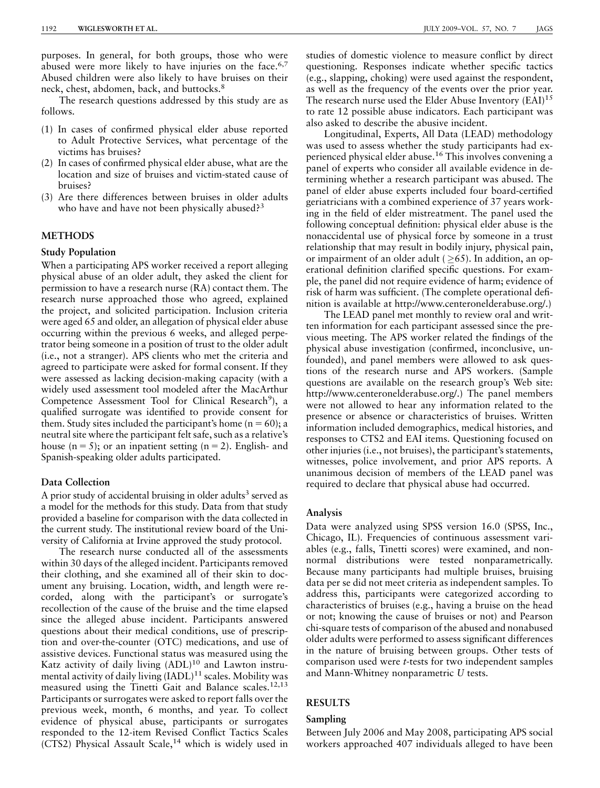purposes. In general, for both groups, those who were abused were more likely to have injuries on the face.  $6,7$ Abused children were also likely to have bruises on their neck, chest, abdomen, back, and buttocks.<sup>8</sup>

The research questions addressed by this study are as follows.

- (1) In cases of confirmed physical elder abuse reported to Adult Protective Services, what percentage of the victims has bruises?
- (2) In cases of confirmed physical elder abuse, what are the location and size of bruises and victim-stated cause of bruises?
- (3) Are there differences between bruises in older adults who have and have not been physically abused?<sup>3</sup>

### METHODS

# Study Population

When a participating APS worker received a report alleging physical abuse of an older adult, they asked the client for permission to have a research nurse (RA) contact them. The research nurse approached those who agreed, explained the project, and solicited participation. Inclusion criteria were aged 65 and older, an allegation of physical elder abuse occurring within the previous 6 weeks, and alleged perpetrator being someone in a position of trust to the older adult (i.e., not a stranger). APS clients who met the criteria and agreed to participate were asked for formal consent. If they were assessed as lacking decision-making capacity (with a widely used assessment tool modeled after the MacArthur Competence Assessment Tool for Clinical Research<sup>9</sup>), a qualified surrogate was identified to provide consent for them. Study sites included the participant's home ( $n = 60$ ); a neutral site where the participant felt safe, such as a relative's house  $(n = 5)$ ; or an inpatient setting  $(n = 2)$ . English- and Spanish-speaking older adults participated.

#### Data Collection

A prior study of accidental bruising in older adults<sup>3</sup> served as a model for the methods for this study. Data from that study provided a baseline for comparison with the data collected in the current study. The institutional review board of the University of California at Irvine approved the study protocol.

The research nurse conducted all of the assessments within 30 days of the alleged incident. Participants removed their clothing, and she examined all of their skin to document any bruising. Location, width, and length were recorded, along with the participant's or surrogate's recollection of the cause of the bruise and the time elapsed since the alleged abuse incident. Participants answered questions about their medical conditions, use of prescription and over-the-counter (OTC) medications, and use of assistive devices. Functional status was measured using the Katz activity of daily living  $(ADL)^{10}$  and Lawton instrumental activity of daily living (IADL)<sup>11</sup> scales. Mobility was measured using the Tinetti Gait and Balance scales.12,13 Participants or surrogates were asked to report falls over the previous week, month, 6 months, and year. To collect evidence of physical abuse, participants or surrogates responded to the 12-item Revised Conflict Tactics Scales (CTS2) Physical Assault Scale,<sup>14</sup> which is widely used in

studies of domestic violence to measure conflict by direct questioning. Responses indicate whether specific tactics (e.g., slapping, choking) were used against the respondent, as well as the frequency of the events over the prior year. The research nurse used the Elder Abuse Inventory (EAI)<sup>15</sup> to rate 12 possible abuse indicators. Each participant was also asked to describe the abusive incident.

Longitudinal, Experts, All Data (LEAD) methodology was used to assess whether the study participants had experienced physical elder abuse.<sup>16</sup> This involves convening a panel of experts who consider all available evidence in determining whether a research participant was abused. The panel of elder abuse experts included four board-certified geriatricians with a combined experience of 37 years working in the field of elder mistreatment. The panel used the following conceptual definition: physical elder abuse is the nonaccidental use of physical force by someone in a trust relationship that may result in bodily injury, physical pain, or impairment of an older adult ( $\geq 65$ ). In addition, an operational definition clarified specific questions. For example, the panel did not require evidence of harm; evidence of risk of harm was sufficient. (The complete operational definition is available at http://www.centeronelderabuse.org/.)

The LEAD panel met monthly to review oral and written information for each participant assessed since the previous meeting. The APS worker related the findings of the physical abuse investigation (confirmed, inconclusive, unfounded), and panel members were allowed to ask questions of the research nurse and APS workers. (Sample questions are available on the research group's Web site: http://www.centeronelderabuse.org/.) The panel members were not allowed to hear any information related to the presence or absence or characteristics of bruises. Written information included demographics, medical histories, and responses to CTS2 and EAI items. Questioning focused on other injuries (i.e., not bruises), the participant's statements, witnesses, police involvement, and prior APS reports. A unanimous decision of members of the LEAD panel was required to declare that physical abuse had occurred.

#### Analysis

Data were analyzed using SPSS version 16.0 (SPSS, Inc., Chicago, IL). Frequencies of continuous assessment variables (e.g., falls, Tinetti scores) were examined, and nonnormal distributions were tested nonparametrically. Because many participants had multiple bruises, bruising data per se did not meet criteria as independent samples. To address this, participants were categorized according to characteristics of bruises (e.g., having a bruise on the head or not; knowing the cause of bruises or not) and Pearson chi-square tests of comparison of the abused and nonabused older adults were performed to assess significant differences in the nature of bruising between groups. Other tests of comparison used were t-tests for two independent samples and Mann-Whitney nonparametric U tests.

# RESULTS

#### Sampling

Between July 2006 and May 2008, participating APS social workers approached 407 individuals alleged to have been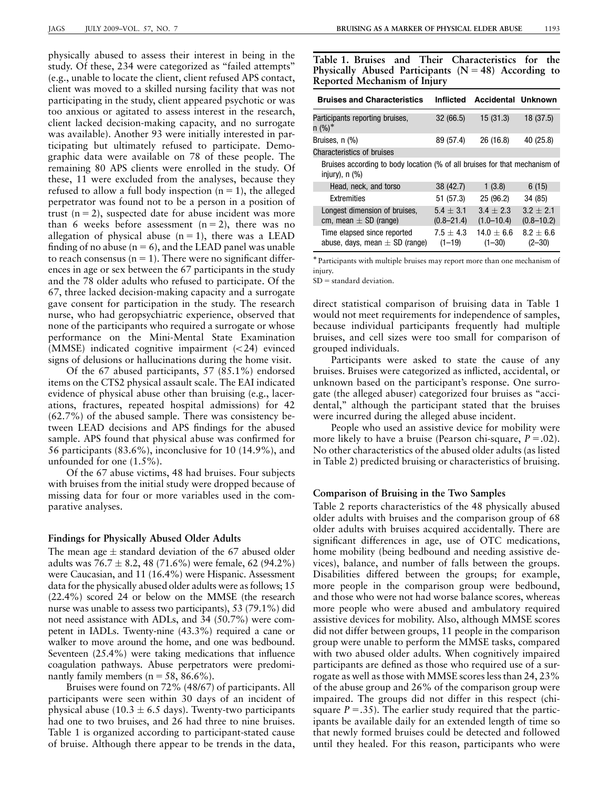physically abused to assess their interest in being in the study. Of these, 234 were categorized as "failed attempts" (e.g., unable to locate the client, client refused APS contact, client was moved to a skilled nursing facility that was not participating in the study, client appeared psychotic or was too anxious or agitated to assess interest in the research, client lacked decision-making capacity, and no surrogate was available). Another 93 were initially interested in participating but ultimately refused to participate. Demographic data were available on 78 of these people. The remaining 80 APS clients were enrolled in the study. Of these, 11 were excluded from the analyses, because they refused to allow a full body inspection  $(n = 1)$ , the alleged perpetrator was found not to be a person in a position of trust  $(n = 2)$ , suspected date for abuse incident was more than 6 weeks before assessment  $(n=2)$ , there was no allegation of physical abuse  $(n = 1)$ , there was a LEAD finding of no abuse ( $n = 6$ ), and the LEAD panel was unable to reach consensus ( $n = 1$ ). There were no significant differences in age or sex between the 67 participants in the study and the 78 older adults who refused to participate. Of the 67, three lacked decision-making capacity and a surrogate gave consent for participation in the study. The research nurse, who had geropsychiatric experience, observed that none of the participants who required a surrogate or whose performance on the Mini-Mental State Examination (MMSE) indicated cognitive impairment  $\langle$  24) evinced signs of delusions or hallucinations during the home visit.

Of the 67 abused participants, 57 (85.1%) endorsed items on the CTS2 physical assault scale. The EAI indicated evidence of physical abuse other than bruising (e.g., lacerations, fractures, repeated hospital admissions) for 42 (62.7%) of the abused sample. There was consistency between LEAD decisions and APS findings for the abused sample. APS found that physical abuse was confirmed for 56 participants (83.6%), inconclusive for 10 (14.9%), and unfounded for one (1.5%).

Of the 67 abuse victims, 48 had bruises. Four subjects with bruises from the initial study were dropped because of missing data for four or more variables used in the comparative analyses.

## Findings for Physically Abused Older Adults

The mean age  $\pm$  standard deviation of the 67 abused older adults was 76.7  $\pm$  8.2, 48 (71.6%) were female, 62 (94.2%) were Caucasian, and 11 (16.4%) were Hispanic. Assessment data for the physically abused older adults were as follows; 15 (22.4%) scored 24 or below on the MMSE (the research nurse was unable to assess two participants), 53 (79.1%) did not need assistance with ADLs, and 34 (50.7%) were competent in IADLs. Twenty-nine (43.3%) required a cane or walker to move around the home, and one was bedbound. Seventeen (25.4%) were taking medications that influence coagulation pathways. Abuse perpetrators were predominantly family members ( $n = 58$ , 86.6%).

Bruises were found on 72% (48/67) of participants. All participants were seen within 30 days of an incident of physical abuse (10.3  $\pm$  6.5 days). Twenty-two participants had one to two bruises, and 26 had three to nine bruises. Table 1 is organized according to participant-stated cause of bruise. Although there appear to be trends in the data,

Table 1. Bruises and Their Characteristics for the Physically Abused Participants  $(N = 48)$  According to Reported Mechanism of Injury

| <b>Bruises and Characteristics</b>                                                                                    | Inflicted                     | Accidental Unknown            |                               |
|-----------------------------------------------------------------------------------------------------------------------|-------------------------------|-------------------------------|-------------------------------|
| Participants reporting bruises,<br>n (%)*                                                                             | 32 (66.5)                     | 15(31.3)                      | 18 (37.5)                     |
| Bruises, n (%)                                                                                                        | 89 (57.4)                     | 26 (16.8)                     | 40 (25.8)                     |
| <b>Characteristics of bruises</b>                                                                                     |                               |                               |                               |
| Bruises according to body location (% of all bruises for that mechanism of<br>injury), $n$ $\left(\frac{9}{6}\right)$ |                               |                               |                               |
| Head, neck, and torso                                                                                                 | 38 (42.7)                     | 1(3.8)                        | 6(15)                         |
| Extremities                                                                                                           | 51 (57.3)                     | 25 (96.2)                     | 34 (85)                       |
| Longest dimension of bruises,<br>cm, mean $\pm$ SD (range)                                                            | $5.4 + 3.1$<br>$(0.8 - 21.4)$ | $3.4 + 2.3$<br>$(1.0 - 10.4)$ | $3.2 + 2.1$<br>$(0.8 - 10.2)$ |
| Time elapsed since reported<br>abuse, days, mean $\pm$ SD (range)                                                     | $7.5 + 4.3$<br>$(1 - 19)$     | $14.0 + 6.6$<br>$(1 - 30)$    | $8.2 + 6.6$<br>$(2 - 30)$     |

 Participants with multiple bruises may report more than one mechanism of injury.

 $SD =$  standard deviation.

direct statistical comparison of bruising data in Table 1 would not meet requirements for independence of samples. because individual participants frequently had multiple bruises, and cell sizes were too small for comparison of grouped individuals.

Participants were asked to state the cause of any bruises. Bruises were categorized as inflicted, accidental, or unknown based on the participant's response. One surrogate (the alleged abuser) categorized four bruises as ''accidental,'' although the participant stated that the bruises were incurred during the alleged abuse incident.

People who used an assistive device for mobility were more likely to have a bruise (Pearson chi-square,  $P = .02$ ). No other characteristics of the abused older adults (as listed in Table 2) predicted bruising or characteristics of bruising.

#### Comparison of Bruising in the Two Samples

Table 2 reports characteristics of the 48 physically abused older adults with bruises and the comparison group of 68 older adults with bruises acquired accidentally. There are significant differences in age, use of OTC medications, home mobility (being bedbound and needing assistive devices), balance, and number of falls between the groups. Disabilities differed between the groups; for example, more people in the comparison group were bedbound, and those who were not had worse balance scores, whereas more people who were abused and ambulatory required assistive devices for mobility. Also, although MMSE scores did not differ between groups, 11 people in the comparison group were unable to perform the MMSE tasks, compared with two abused older adults. When cognitively impaired participants are defined as those who required use of a surrogate as well as those with MMSE scores less than 24, 23% of the abuse group and 26% of the comparison group were impaired. The groups did not differ in this respect (chisquare  $P = 0.35$ . The earlier study required that the participants be available daily for an extended length of time so that newly formed bruises could be detected and followed until they healed. For this reason, participants who were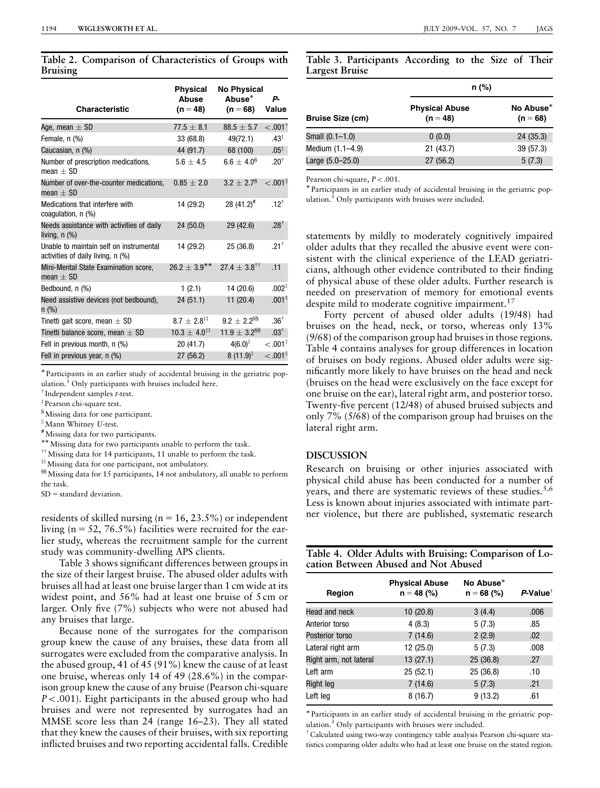Table 2. Comparison of Characteristics of Groups with Bruising

| <b>Characteristic</b>                                                               | Physical<br>Abuse<br>(n = 48) | <b>No Physical</b><br>Abuse*<br>$(n = 68)$ | Р-<br>Value         |
|-------------------------------------------------------------------------------------|-------------------------------|--------------------------------------------|---------------------|
| Age, mean $\pm$ SD                                                                  | $77.5 + 8.1$                  | $88.5 + 5.7$                               | $< .001^{\dagger}$  |
| Female, n (%)                                                                       | 33 (68.8)                     | 49(72.1)                                   | $.43^{\ddagger}$    |
| Caucasian, n (%)                                                                    | 44 (91.7)                     | 68 (100)                                   | $.05^{\ddagger}$    |
| Number of prescription medications,<br>$mean + SD$                                  | $5.6 \pm 4.5$                 | $6.6 \pm 4.0^8$                            | $.20^{\dagger}$     |
| Number of over-the-counter medications,<br>mean $\pm$ SD                            | $0.85 \pm 2.0$                | $3.2 + 2.7^5$                              | < 0.01              |
| Medications that interfere with<br>coagulation, $n$ $(\%)$                          | 14 (29.2)                     | 28 $(41.2)^*$                              | $.12^{\dagger}$     |
| Needs assistance with activities of daily<br>living, $n$ $\left(\frac{9}{6}\right)$ | 24(50.0)                      | 29 (42.6)                                  | $.28^{\dagger}$     |
| Unable to maintain self on instrumental<br>activities of daily living, n (%)        | 14 (29.2)                     | 25 (36.8)                                  | $.21^+$             |
| Mini-Mental State Examination score,<br>mean $\pm$ SD                               | $26.2 + 3.9$ **               | $27.4 \pm 3.8^{\dagger\dagger}$            | .11                 |
| Bedbound, n (%)                                                                     | 1(2.1)                        | 14 (20.6)                                  | $.002^{\ddagger}$   |
| Need assistive devices (not bedbound),<br>n (%)                                     | 24(51.1)                      | 11(20.4)                                   | $.001^{\ddagger}$   |
| Tinetti gait score, mean $\pm$ SD                                                   | $8.7 \pm 2.8$ <sup>‡‡</sup>   | $9.2 \pm 2.2$ <sup>§§</sup>                | .36 <sup>†</sup>    |
| Tinetti balance score, mean $\pm$ SD                                                | $10.3 \pm 4.0^{11}$           | $11.9 \pm 3.2$ <sup>§§</sup>               | $.03^{\dagger}$     |
| Fell in previous month, n (%)                                                       | 20 (41.7)                     | $4(6.0)^{\ddagger}$                        | $<$ $.001^\ddagger$ |
| Fell in previous year, n (%)                                                        | 27(56.2)                      | 8 $(11.9)^{\ddagger}$                      | $< .001^\ddagger$   |

 Participants in an earlier study of accidental bruising in the geriatric population.<sup>3</sup> Only participants with bruises included here.

 $\dagger$  Independent samples  $t$ -test.

<sup>‡</sup> Pearson chi-square test.

§Missing data for one participant.

 $\mathbb{M}$  Mann Whitney U-test.

#Missing data for two participants.

Missing data for two participants unable to perform the task.

 $<sup>††</sup>$  Missing data for 14 participants, 11 unable to perform the task.</sup>

<sup>##</sup> Missing data for one participant, not ambulatory.

§§Missing data for 15 participants, 14 not ambulatory, all unable to perform the task.

 $SD =$  standard deviation.

residents of skilled nursing ( $n = 16, 23.5\%$ ) or independent living  $(n = 52, 76.5\%)$  facilities were recruited for the earlier study, whereas the recruitment sample for the current study was community-dwelling APS clients.

Table 3 shows significant differences between groups in the size of their largest bruise. The abused older adults with bruises all had at least one bruise larger than 1 cm wide at its widest point, and 56% had at least one bruise of 5 cm or larger. Only five (7%) subjects who were not abused had any bruises that large.

Because none of the surrogates for the comparison group knew the cause of any bruises, these data from all surrogates were excluded from the comparative analysis. In the abused group, 41 of 45 (91%) knew the cause of at least one bruise, whereas only 14 of 49 (28.6%) in the comparison group knew the cause of any bruise (Pearson chi-square  $P<.001$ ). Eight participants in the abused group who had bruises and were not represented by surrogates had an MMSE score less than 24 (range 16–23). They all stated that they knew the causes of their bruises, with six reporting inflicted bruises and two reporting accidental falls. Credible

| $n (\%)$                            |                         |
|-------------------------------------|-------------------------|
| <b>Physical Abuse</b><br>$(n = 48)$ | No Abuse*<br>$(n = 68)$ |
| 0(0.0)                              | 24 (35.3)               |
| 21(43.7)                            | 39 (57.3)               |
| 27(56.2)                            | 5(7.3)                  |
|                                     |                         |

Table 3. Participants According to the Size of Their Largest Bruise

Pearson chi-square,  $P < .001$ .<br> \* Participants in an earlier study of accidental bruising in the geriatric population.<sup>3</sup> Only participants with bruises were included.

statements by mildly to moderately cognitively impaired older adults that they recalled the abusive event were consistent with the clinical experience of the LEAD geriatricians, although other evidence contributed to their finding of physical abuse of these older adults. Further research is needed on preservation of memory for emotional events despite mild to moderate cognitive impairment.<sup>17</sup>

Forty percent of abused older adults (19/48) had bruises on the head, neck, or torso, whereas only 13% (9/68) of the comparison group had bruises in those regions. Table 4 contains analyses for group differences in location of bruises on body regions. Abused older adults were significantly more likely to have bruises on the head and neck (bruises on the head were exclusively on the face except for one bruise on the ear), lateral right arm, and posterior torso. Twenty-five percent (12/48) of abused bruised subjects and only 7% (5/68) of the comparison group had bruises on the lateral right arm.

# DISCUSSION

Research on bruising or other injuries associated with physical child abuse has been conducted for a number of years, and there are systematic reviews of these studies.<sup>5,6</sup> Less is known about injuries associated with intimate partner violence, but there are published, systematic research

Table 4. Older Adults with Bruising: Comparison of Location Between Abused and Not Abused

| Region                 | <b>Physical Abuse</b><br>$n = 48$ (%) | No Abuse*<br>$n = 68$ (%) | P-Value <sup>+</sup> |
|------------------------|---------------------------------------|---------------------------|----------------------|
| Head and neck          | 10(20.8)                              | 3(4.4)                    | .006                 |
| Anterior torso         | 4(8.3)                                | 5(7.3)                    | .85                  |
| Posterior torso        | 7(14.6)                               | 2(2.9)                    | .02                  |
| Lateral right arm      | 12 (25.0)                             | 5(7.3)                    | .008                 |
| Right arm, not lateral | 13(27.1)                              | 25 (36.8)                 | .27                  |
| Left arm               | 25(52.1)                              | 25 (36.8)                 | .10                  |
| Right leg              | 7(14.6)                               | 5(7.3)                    | .21                  |
| Left leg               | 8(16.7)                               | 9(13.2)                   | .61                  |

 Participants in an earlier study of accidental bruising in the geriatric population.<sup>3</sup> Only participants with bruises were included.

Calculated using two-way contingency table analysis Pearson chi-square statistics comparing older adults who had at least one bruise on the stated region.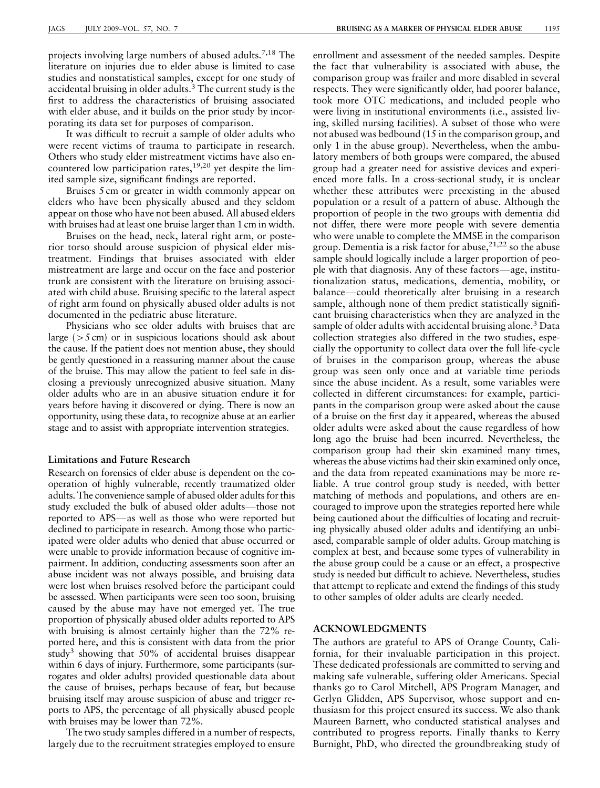projects involving large numbers of abused adults.<sup>7,18</sup> The literature on injuries due to elder abuse is limited to case studies and nonstatistical samples, except for one study of accidental bruising in older adults.<sup>3</sup> The current study is the first to address the characteristics of bruising associated with elder abuse, and it builds on the prior study by incorporating its data set for purposes of comparison.

It was difficult to recruit a sample of older adults who were recent victims of trauma to participate in research. Others who study elder mistreatment victims have also encountered low participation rates,<sup>19,20</sup> yet despite the limited sample size, significant findings are reported.

Bruises 5 cm or greater in width commonly appear on elders who have been physically abused and they seldom appear on those who have not been abused. All abused elders with bruises had at least one bruise larger than 1 cm in width.

Bruises on the head, neck, lateral right arm, or posterior torso should arouse suspicion of physical elder mistreatment. Findings that bruises associated with elder mistreatment are large and occur on the face and posterior trunk are consistent with the literature on bruising associated with child abuse. Bruising specific to the lateral aspect of right arm found on physically abused older adults is not documented in the pediatric abuse literature.

Physicians who see older adults with bruises that are large  $(55 \text{ cm})$  or in suspicious locations should ask about the cause. If the patient does not mention abuse, they should be gently questioned in a reassuring manner about the cause of the bruise. This may allow the patient to feel safe in disclosing a previously unrecognized abusive situation. Many older adults who are in an abusive situation endure it for years before having it discovered or dying. There is now an opportunity, using these data, to recognize abuse at an earlier stage and to assist with appropriate intervention strategies.

## Limitations and Future Research

Research on forensics of elder abuse is dependent on the cooperation of highly vulnerable, recently traumatized older adults. The convenience sample of abused older adults for this study excluded the bulk of abused older adults—those not reported to APS-as well as those who were reported but declined to participate in research. Among those who participated were older adults who denied that abuse occurred or were unable to provide information because of cognitive impairment. In addition, conducting assessments soon after an abuse incident was not always possible, and bruising data were lost when bruises resolved before the participant could be assessed. When participants were seen too soon, bruising caused by the abuse may have not emerged yet. The true proportion of physically abused older adults reported to APS with bruising is almost certainly higher than the 72% reported here, and this is consistent with data from the prior study3 showing that 50% of accidental bruises disappear within 6 days of injury. Furthermore, some participants (surrogates and older adults) provided questionable data about the cause of bruises, perhaps because of fear, but because bruising itself may arouse suspicion of abuse and trigger reports to APS, the percentage of all physically abused people with bruises may be lower than 72%.

The two study samples differed in a number of respects, largely due to the recruitment strategies employed to ensure enrollment and assessment of the needed samples. Despite the fact that vulnerability is associated with abuse, the comparison group was frailer and more disabled in several respects. They were significantly older, had poorer balance, took more OTC medications, and included people who were living in institutional environments (i.e., assisted living, skilled nursing facilities). A subset of those who were not abused was bedbound (15 in the comparison group, and only 1 in the abuse group). Nevertheless, when the ambulatory members of both groups were compared, the abused group had a greater need for assistive devices and experienced more falls. In a cross-sectional study, it is unclear whether these attributes were preexisting in the abused population or a result of a pattern of abuse. Although the proportion of people in the two groups with dementia did not differ, there were more people with severe dementia who were unable to complete the MMSE in the comparison group. Dementia is a risk factor for abuse,<sup>21,22</sup> so the abuse sample should logically include a larger proportion of people with that diagnosis. Any of these factors—age, institutionalization status, medications, dementia, mobility, or balance—could theoretically alter bruising in a research sample, although none of them predict statistically significant bruising characteristics when they are analyzed in the sample of older adults with accidental bruising alone.<sup>3</sup> Data collection strategies also differed in the two studies, especially the opportunity to collect data over the full life-cycle of bruises in the comparison group, whereas the abuse group was seen only once and at variable time periods since the abuse incident. As a result, some variables were collected in different circumstances: for example, participants in the comparison group were asked about the cause of a bruise on the first day it appeared, whereas the abused older adults were asked about the cause regardless of how long ago the bruise had been incurred. Nevertheless, the comparison group had their skin examined many times, whereas the abuse victims had their skin examined only once, and the data from repeated examinations may be more reliable. A true control group study is needed, with better matching of methods and populations, and others are encouraged to improve upon the strategies reported here while being cautioned about the difficulties of locating and recruiting physically abused older adults and identifying an unbiased, comparable sample of older adults. Group matching is complex at best, and because some types of vulnerability in the abuse group could be a cause or an effect, a prospective study is needed but difficult to achieve. Nevertheless, studies that attempt to replicate and extend the findings of this study to other samples of older adults are clearly needed.

# ACKNOWLEDGMENTS

The authors are grateful to APS of Orange County, California, for their invaluable participation in this project. These dedicated professionals are committed to serving and making safe vulnerable, suffering older Americans. Special thanks go to Carol Mitchell, APS Program Manager, and Gerlyn Glidden, APS Supervisor, whose support and enthusiasm for this project ensured its success. We also thank Maureen Barnett, who conducted statistical analyses and contributed to progress reports. Finally thanks to Kerry Burnight, PhD, who directed the groundbreaking study of